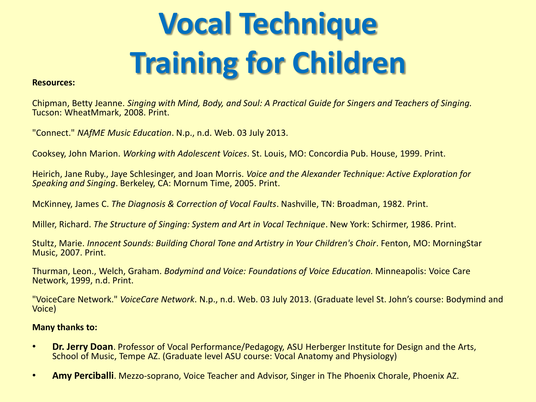# **Vocal Technique Training for Children**

#### **Resources:**

Chipman, Betty Jeanne. *Singing with Mind, Body, and Soul: A Practical Guide for Singers and Teachers of Singing.* Tucson: WheatMmark, 2008. Print.

"Connect." *NAfME Music Education*. N.p., n.d. Web. 03 July 2013.

Cooksey, John Marion. *Working with Adolescent Voices*. St. Louis, MO: Concordia Pub. House, 1999. Print.

Heirich, Jane Ruby., Jaye Schlesinger, and Joan Morris. *Voice and the Alexander Technique: Active Exploration for Speaking and Singing*. Berkeley, CA: Mornum Time, 2005. Print.

McKinney, James C. *The Diagnosis & Correction of Vocal Faults*. Nashville, TN: Broadman, 1982. Print.

Miller, Richard. *The Structure of Singing: System and Art in Vocal Technique*. New York: Schirmer, 1986. Print.

Stultz, Marie. *Innocent Sounds: Building Choral Tone and Artistry in Your Children's Choir*. Fenton, MO: MorningStar Music, 2007. Print.

Thurman, Leon., Welch, Graham. *Bodymind and Voice: Foundations of Voice Education.* Minneapolis: Voice Care Network, 1999, n.d. Print.

"VoiceCare Network." *VoiceCare Network*. N.p., n.d. Web. 03 July 2013. (Graduate level St. John's course: Bodymind and Voice)

#### **Many thanks to:**

- **Dr. Jerry Doan**. Professor of Vocal Performance/Pedagogy, ASU Herberger Institute for Design and the Arts, School of Music, Tempe AZ. (Graduate level ASU course: Vocal Anatomy and Physiology)
- **Amy Perciballi**. Mezzo-soprano, Voice Teacher and Advisor, Singer in The Phoenix Chorale, Phoenix AZ.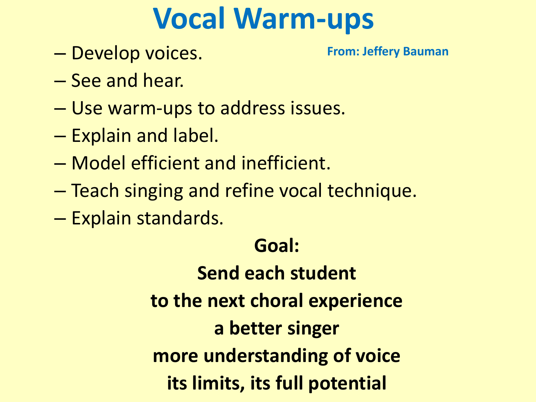### **Vocal Warm-ups**

– Develop voices.

**From: Jeffery Bauman**

- See and hear.
- Use warm-ups to address issues.
- Explain and label.
- Model efficient and inefficient.
- Teach singing and refine vocal technique.
- Explain standards.

#### **Goal:**

**Send each student to the next choral experience a better singer more understanding of voice its limits, its full potential**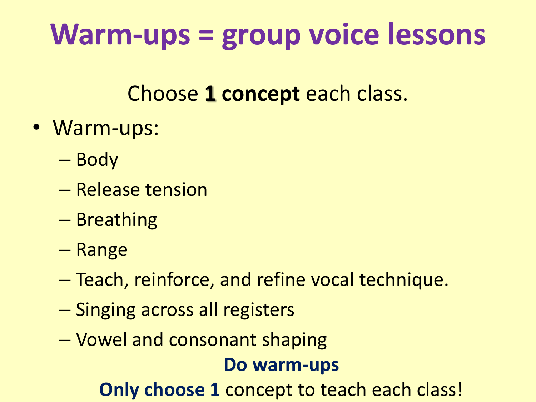## **Warm-ups = group voice lessons**

Choose **1 concept** each class.

- Warm-ups:
	- Body
	- Release tension
	- Breathing
	- Range
	- Teach, reinforce, and refine vocal technique.
	- Singing across all registers
	- Vowel and consonant shaping

#### **Do warm-ups**

**Only choose 1 concept to teach each class!**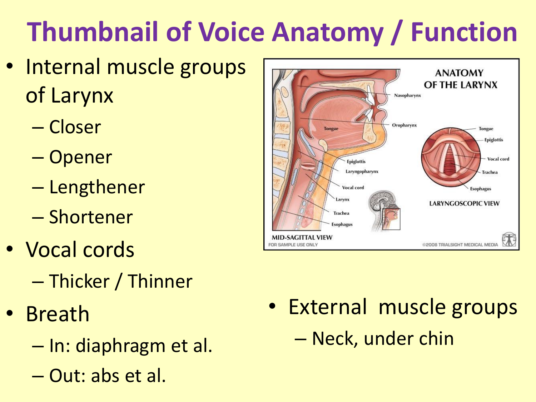## **Thumbnail of Voice Anatomy / Function**

- Internal muscle groups of Larynx
	- Closer
	- Opener
	- Lengthener
	- Shortener
- Vocal cords
	- Thicker / Thinner
- Breath
	- In: diaphragm et al.
	- Out: abs et al.



• External muscle groups – Neck, under chin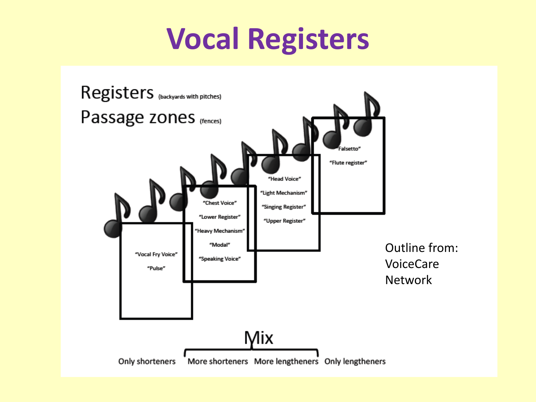### **Vocal Registers**

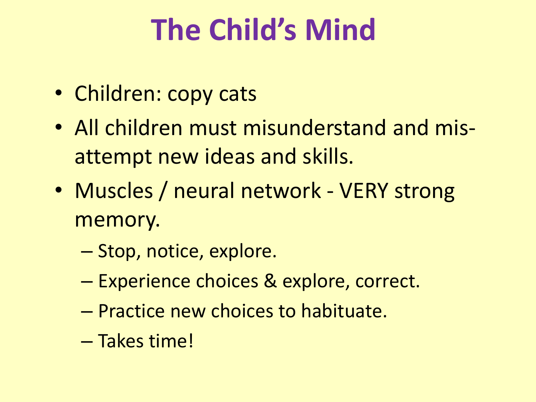## **The Child's Mind**

- Children: copy cats
- All children must misunderstand and misattempt new ideas and skills.
- Muscles / neural network VERY strong memory.
	- Stop, notice, explore.
	- Experience choices & explore, correct.
	- Practice new choices to habituate.
	- Takes time!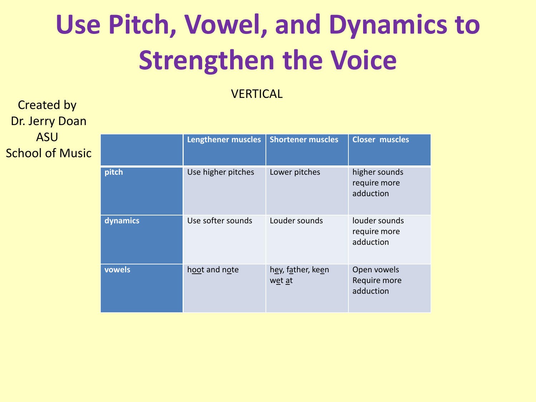### **Use Pitch, Vowel, and Dynamics to Strengthen the Voice**

**VERTICAL** 

Created by Dr. Jerry Doan ASU School of Music

|          | <b>Lengthener muscles</b> | <b>Shortener muscles</b>    | <b>Closer muscles</b>                      |
|----------|---------------------------|-----------------------------|--------------------------------------------|
| pitch    | Use higher pitches        | Lower pitches               | higher sounds<br>require more<br>adduction |
| dynamics | Use softer sounds         | Louder sounds               | louder sounds<br>require more<br>adduction |
| vowels   | hoot and note             | hey, father, keen<br>wet at | Open vowels<br>Require more<br>adduction   |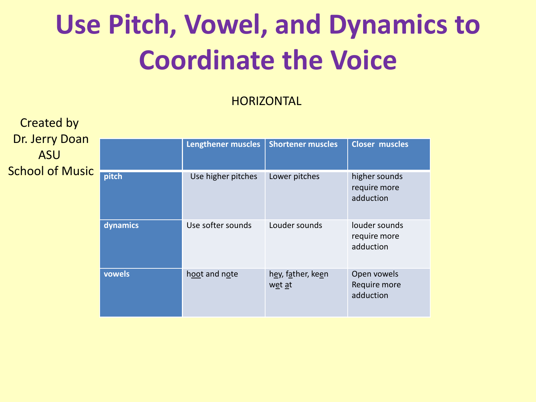### **Use Pitch, Vowel, and Dynamics to Coordinate the Voice**

#### **HORIZONTAL**

Created by Dr. Jerry Doan ASU School of Music

|          | <b>Lengthener muscles</b> | <b>Shortener muscles</b>    | <b>Closer muscles</b>                      |
|----------|---------------------------|-----------------------------|--------------------------------------------|
| pitch    | Use higher pitches        | Lower pitches               | higher sounds<br>require more<br>adduction |
| dynamics | Use softer sounds         | Louder sounds               | louder sounds<br>require more<br>adduction |
| vowels   | hoot and note             | hey, father, keen<br>wet at | Open vowels<br>Require more<br>adduction   |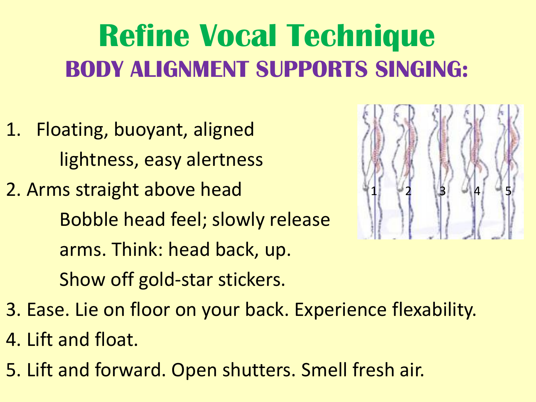### **Refine Vocal Technique BODY ALIGNMENT SUPPORTS SINGING:**

- 1. Floating, buoyant, aligned lightness, easy alertness
- 2. Arms straight above head Bobble head feel; slowly release arms. Think: head back, up. Show off gold-star stickers.



- 3. Ease. Lie on floor on your back. Experience flexability.
- 4. Lift and float.
- 5. Lift and forward. Open shutters. Smell fresh air.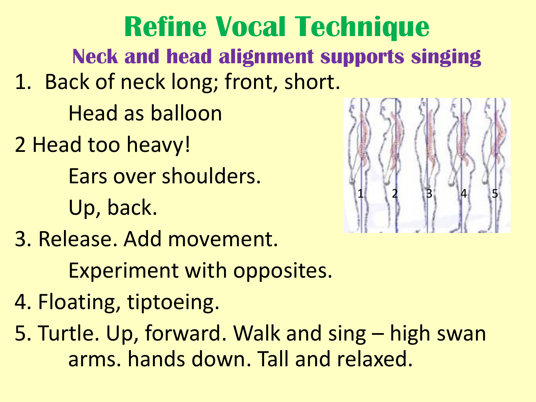1. Back of neck long; front, short. Head as balloon 2 Head too heavy! Ears over shoulders. Up, back. 3. Release. Add movement. Experiment with opposites. 4. Floating, tiptoeing. 5. Turtle. Up, forward. Walk and sing – high swan arms. hands down. Tall and relaxed. 1 2 3 4 5 **Refine Vocal Technique Neck and head alignment supports singing**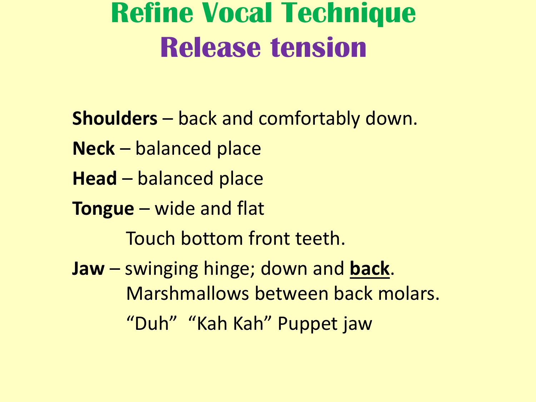### **Refine Vocal Technique Release tension**

- **Shoulders** back and comfortably down.
- **Neck** balanced place
- **Head** balanced place
- **Tongue** wide and flat
	- Touch bottom front teeth.
- **Jaw** swinging hinge; down and **back**. Marshmallows between back molars. "Duh" "Kah Kah" Puppet jaw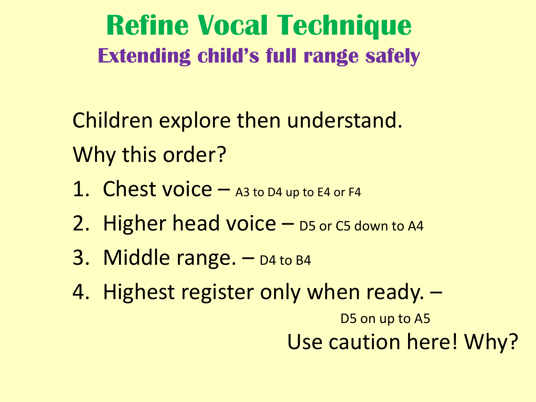**Refine Vocal Technique Extending child's full range safely**

Children explore then understand. Why this order?

- 1. Chest voice A3 to D4 up to E4 or F4
- 2. Higher head voice  $-$  D5 or C5 down to A4
- 3. Middle range.  $-$  D4 to B4
- 4. Highest register only when ready. –

D5 on up to A5 Use caution here! Why?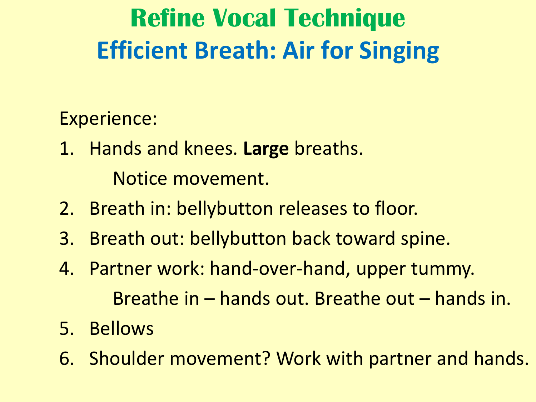### **Refine Vocal Technique Efficient Breath: Air for Singing**

#### Experience:

- 1. Hands and knees. **Large** breaths. Notice movement.
- 2. Breath in: bellybutton releases to floor.
- 3. Breath out: bellybutton back toward spine.
- 4. Partner work: hand-over-hand, upper tummy. Breathe in – hands out. Breathe out – hands in.
- 5. Bellows
- 6. Shoulder movement? Work with partner and hands.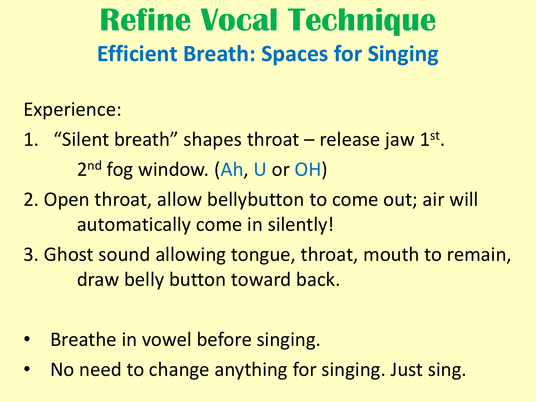### **Refine Vocal Technique Efficient Breath: Spaces for Singing**

Experience:

- 1. "Silent breath" shapes throat release jaw 1st. 2<sup>nd</sup> fog window. (Ah, U or OH)
- 2. Open throat, allow bellybutton to come out; air will automatically come in silently!
- 3. Ghost sound allowing tongue, throat, mouth to remain, draw belly button toward back.
- Breathe in vowel before singing.
- No need to change anything for singing. Just sing.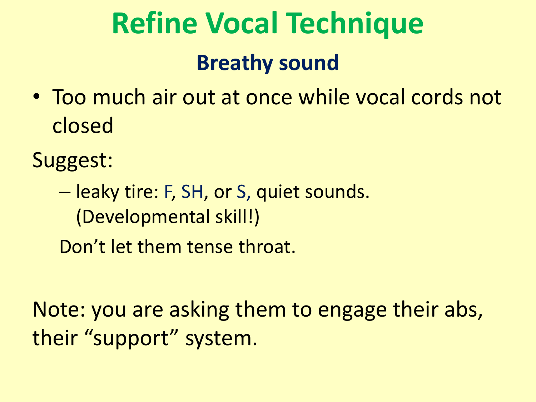### **Refine Vocal Technique Breathy sound**

• Too much air out at once while vocal cords not closed

Suggest:

– leaky tire: F, SH, or S, quiet sounds. (Developmental skill!)

Don't let them tense throat.

Note: you are asking them to engage their abs, their "support" system.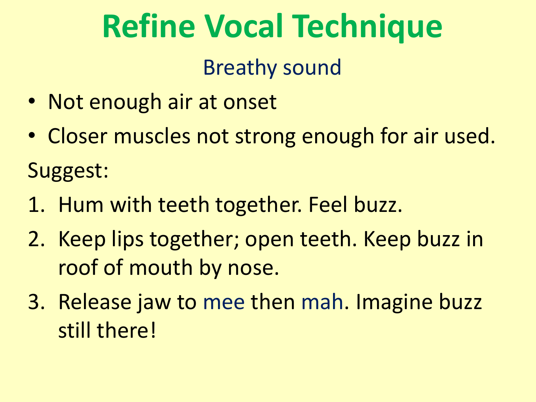#### Breathy sound

- Not enough air at onset
- Closer muscles not strong enough for air used. Suggest:
- 1. Hum with teeth together. Feel buzz.
- 2. Keep lips together; open teeth. Keep buzz in roof of mouth by nose.
- 3. Release jaw to mee then mah. Imagine buzz still there!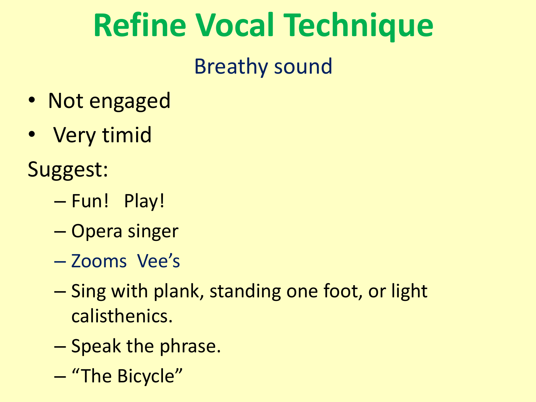### Breathy sound

- Not engaged
- Very timid
- Suggest:
	- Fun! Play!
	- Opera singer
	- Zooms Vee's
	- Sing with plank, standing one foot, or light calisthenics.
	- Speak the phrase.
	- "The Bicycle"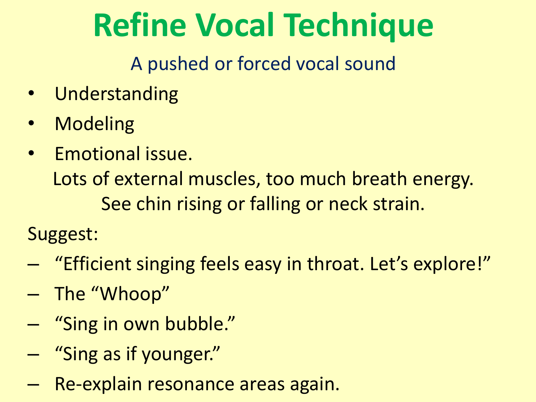A pushed or forced vocal sound

- Understanding
- **Modeling**
- Emotional issue. Lots of external muscles, too much breath energy. See chin rising or falling or neck strain.

Suggest:

- "Efficient singing feels easy in throat. Let's explore!"
- The "Whoop"
- "Sing in own bubble."
- "Sing as if younger."
- Re-explain resonance areas again.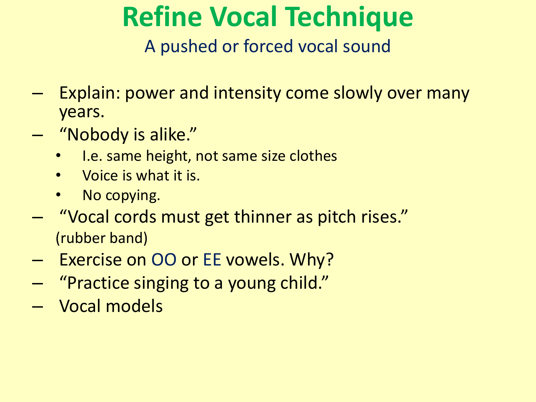A pushed or forced vocal sound

- Explain: power and intensity come slowly over many years.
- "Nobody is alike."
	- I.e. same height, not same size clothes
	- Voice is what it is.
	- No copying.
- "Vocal cords must get thinner as pitch rises." (rubber band)
- Exercise on OO or EE vowels. Why?
- "Practice singing to a young child."
- Vocal models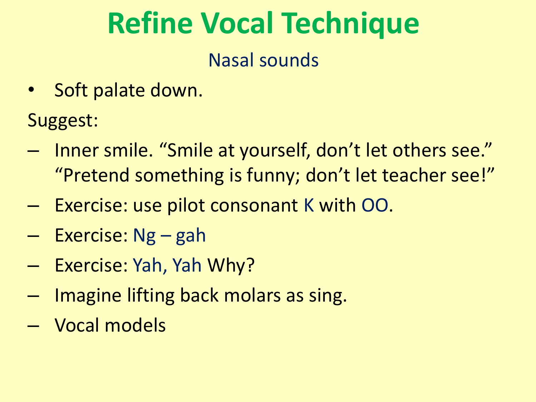#### Nasal sounds

- Soft palate down.
- Suggest:
- Inner smile. "Smile at yourself, don't let others see." "Pretend something is funny; don't let teacher see!"
- Exercise: use pilot consonant K with OO.
- Exercise: Ng gah
- Exercise: Yah, Yah Why?
- Imagine lifting back molars as sing.
- Vocal models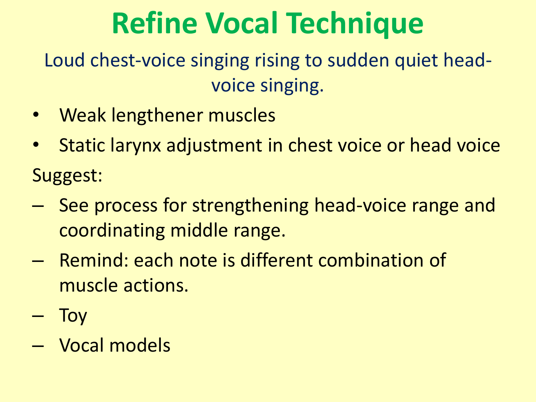Loud chest-voice singing rising to sudden quiet headvoice singing.

- Weak lengthener muscles
- Static larynx adjustment in chest voice or head voice Suggest:
- See process for strengthening head-voice range and coordinating middle range.
- Remind: each note is different combination of muscle actions.
- Toy
- Vocal models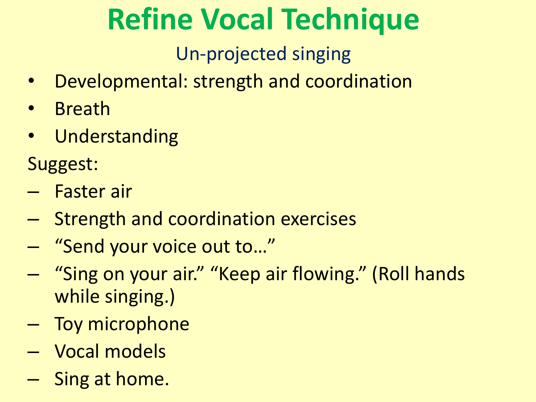Un-projected singing

- Developmental: strength and coordination
- Breath
- Understanding

Suggest:

- Faster air
- Strength and coordination exercises
- "Send your voice out to…"
- "Sing on your air." "Keep air flowing." (Roll hands while singing.)
- Toy microphone
- Vocal models
- Sing at home.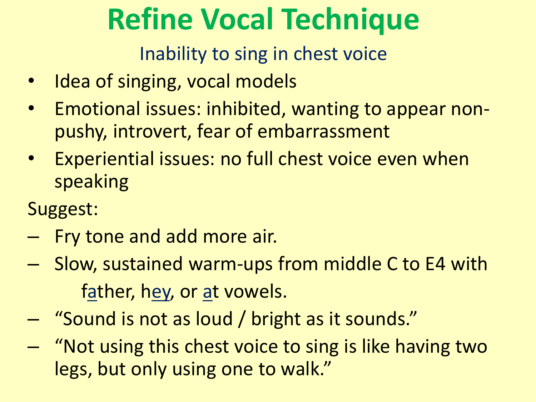Inability to sing in chest voice

- Idea of singing, vocal models
- Emotional issues: inhibited, wanting to appear nonpushy, introvert, fear of embarrassment
- Experiential issues: no full chest voice even when speaking
- Suggest:
- Fry tone and add more air.
- Slow, sustained warm-ups from middle C to E4 with father, hey, or at vowels.
- "Sound is not as loud / bright as it sounds."
- "Not using this chest voice to sing is like having two legs, but only using one to walk."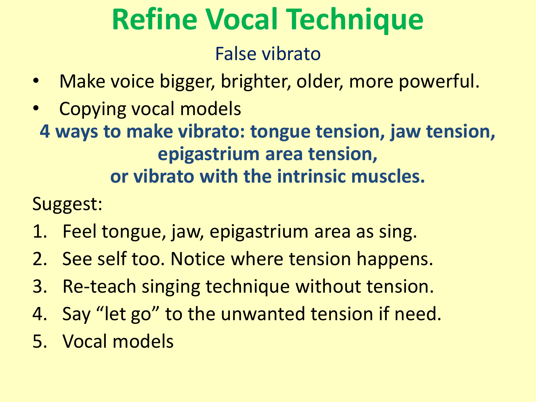#### False vibrato

- Make voice bigger, brighter, older, more powerful.
- Copying vocal models
	- **4 ways to make vibrato: tongue tension, jaw tension, epigastrium area tension, or vibrato with the intrinsic muscles.**

Suggest:

- 1. Feel tongue, jaw, epigastrium area as sing.
- 2. See self too. Notice where tension happens.
- 3. Re-teach singing technique without tension.
- 4. Say "let go" to the unwanted tension if need.
- 5. Vocal models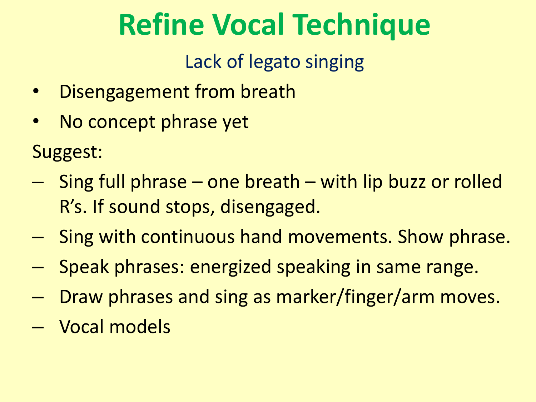Lack of legato singing

- Disengagement from breath
- No concept phrase yet

Suggest:

- Sing full phrase one breath with lip buzz or rolled R's. If sound stops, disengaged.
- Sing with continuous hand movements. Show phrase.
- Speak phrases: energized speaking in same range.
- Draw phrases and sing as marker/finger/arm moves.
- Vocal models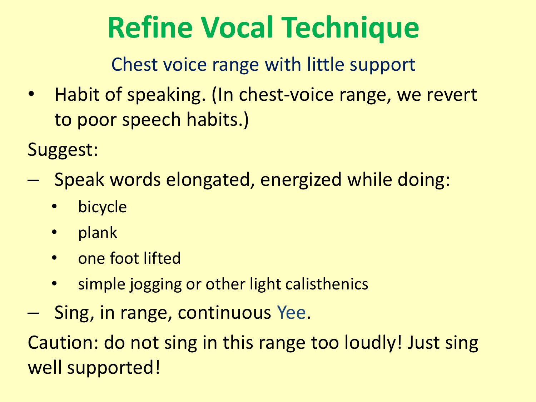Chest voice range with little support

• Habit of speaking. (In chest-voice range, we revert to poor speech habits.)

Suggest:

- Speak words elongated, energized while doing:
	- bicycle
	- plank
	- one foot lifted
	- simple jogging or other light calisthenics
- Sing, in range, continuous Yee.

Caution: do not sing in this range too loudly! Just sing well supported!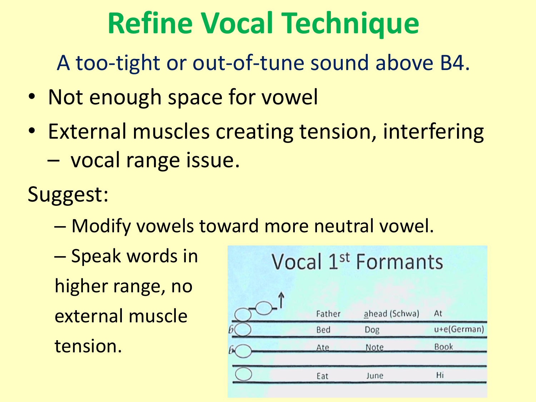A too-tight or out-of-tune sound above B4.

- Not enough space for vowel
- External muscles creating tension, interfering – vocal range issue.
- Suggest:
	- Modify vowels toward more neutral vowel.
	- Speak words in higher range, no external muscle tension.

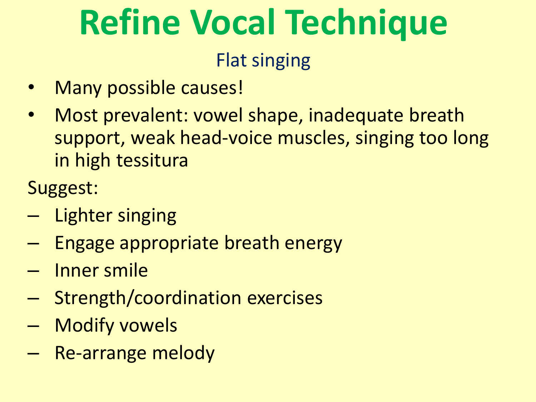#### Flat singing

- Many possible causes!
- Most prevalent: vowel shape, inadequate breath support, weak head-voice muscles, singing too long in high tessitura

Suggest:

- Lighter singing
- Engage appropriate breath energy
- Inner smile
- Strength/coordination exercises
- Modify vowels
- Re-arrange melody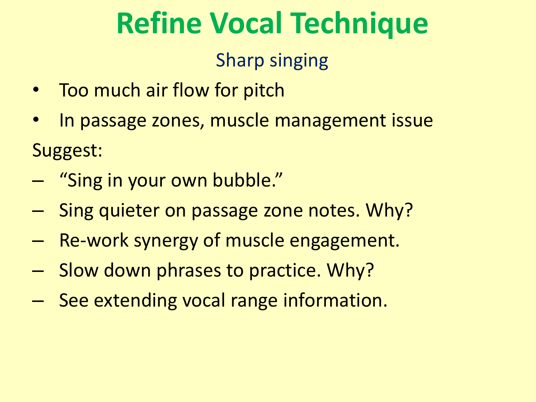#### Sharp singing

- Too much air flow for pitch
- In passage zones, muscle management issue Suggest:
- "Sing in your own bubble."
- Sing quieter on passage zone notes. Why?
- Re-work synergy of muscle engagement.
- Slow down phrases to practice. Why?
- See extending vocal range information.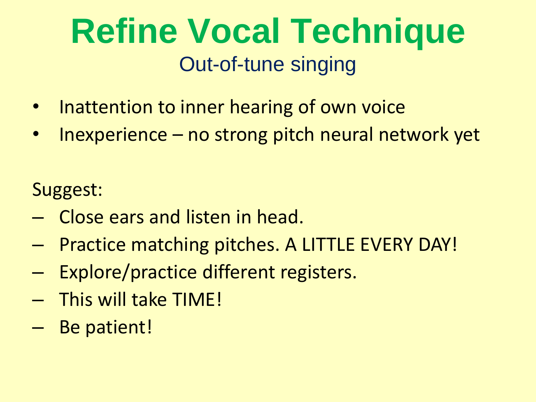### **Refine Vocal Technique** Out-of-tune singing

- Inattention to inner hearing of own voice
- Inexperience  $-$  no strong pitch neural network yet

Suggest:

- Close ears and listen in head.
- Practice matching pitches. A LITTLE EVERY DAY!
- Explore/practice different registers.
- This will take TIME!
- Be patient!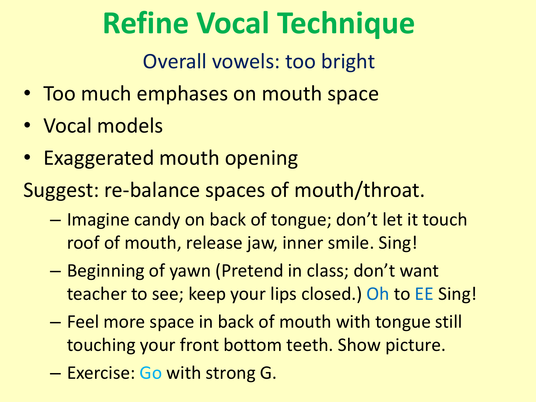Overall vowels: too bright

- Too much emphases on mouth space
- Vocal models
- Exaggerated mouth opening

Suggest: re-balance spaces of mouth/throat.

- Imagine candy on back of tongue; don't let it touch roof of mouth, release jaw, inner smile. Sing!
- Beginning of yawn (Pretend in class; don't want teacher to see; keep your lips closed.) Oh to EE Sing!
- Feel more space in back of mouth with tongue still touching your front bottom teeth. Show picture.
- Exercise: Go with strong G.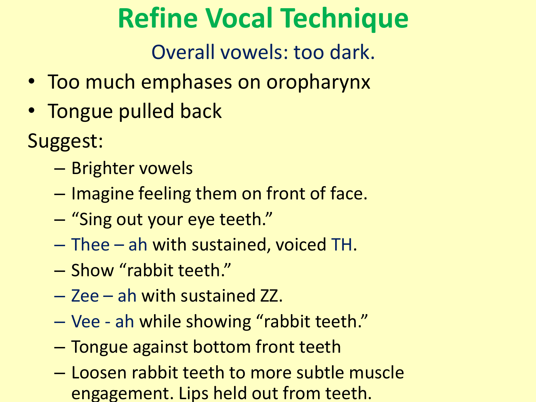Overall vowels: too dark.

- Too much emphases on oropharynx
- Tongue pulled back

Suggest:

- Brighter vowels
- Imagine feeling them on front of face.
- "Sing out your eye teeth."
- Thee ah with sustained, voiced TH.
- Show "rabbit teeth."
- Zee ah with sustained ZZ.
- Vee ah while showing "rabbit teeth."
- Tongue against bottom front teeth
- Loosen rabbit teeth to more subtle muscle engagement. Lips held out from teeth.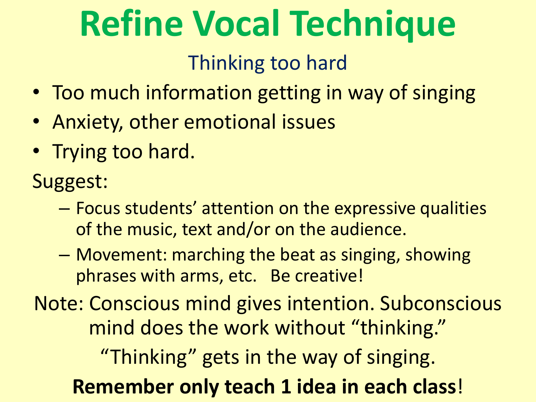#### Thinking too hard

- Too much information getting in way of singing
- Anxiety, other emotional issues
- Trying too hard.

Suggest:

- Focus students' attention on the expressive qualities of the music, text and/or on the audience.
- Movement: marching the beat as singing, showing phrases with arms, etc. Be creative!

Note: Conscious mind gives intention. Subconscious mind does the work without "thinking." "Thinking" gets in the way of singing. **Remember only teach 1 idea in each class**!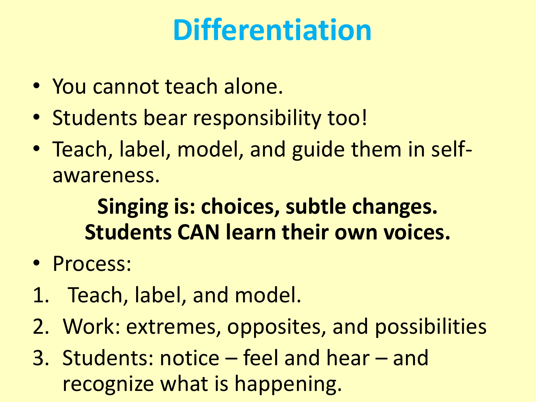### **Differentiation**

- You cannot teach alone.
- Students bear responsibility too!
- Teach, label, model, and guide them in selfawareness.

### **Singing is: choices, subtle changes. Students CAN learn their own voices.**

- Process:
- 1. Teach, label, and model.
- 2. Work: extremes, opposites, and possibilities
- 3. Students: notice feel and hear and recognize what is happening.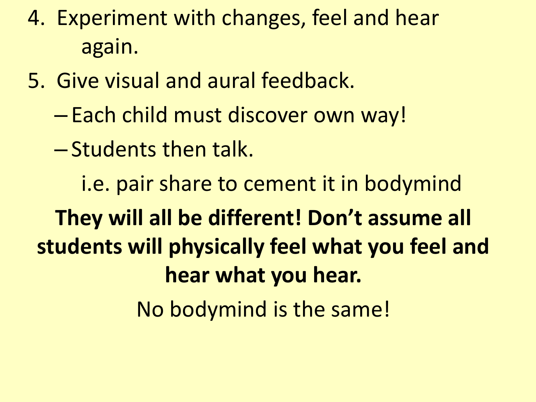- 4. Experiment with changes, feel and hear again.
- 5. Give visual and aural feedback.
	- Each child must discover own way!
	- Students then talk.

i.e. pair share to cement it in bodymind **They will all be different! Don't assume all students will physically feel what you feel and hear what you hear.**  No bodymind is the same!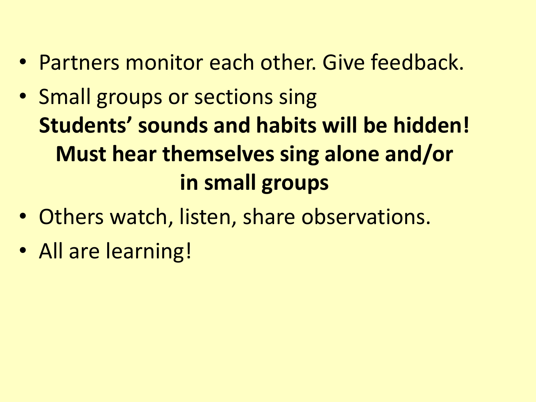- Partners monitor each other. Give feedback.
- Small groups or sections sing **Students' sounds and habits will be hidden! Must hear themselves sing alone and/or in small groups**
- Others watch, listen, share observations.
- All are learning!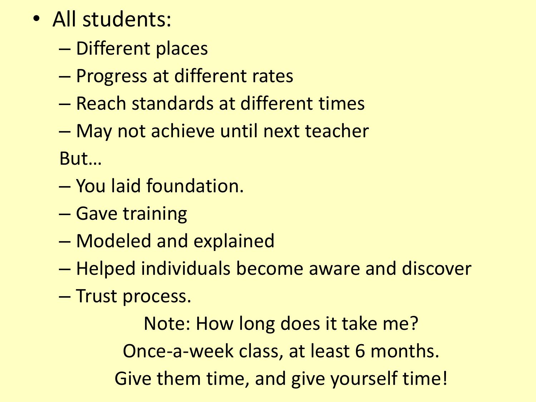- All students:
	- Different places
	- Progress at different rates
	- Reach standards at different times
	- May not achieve until next teacher

But…

- You laid foundation.
- Gave training
- Modeled and explained
- Helped individuals become aware and discover
- Trust process.

Note: How long does it take me? Once-a-week class, at least 6 months. Give them time, and give yourself time!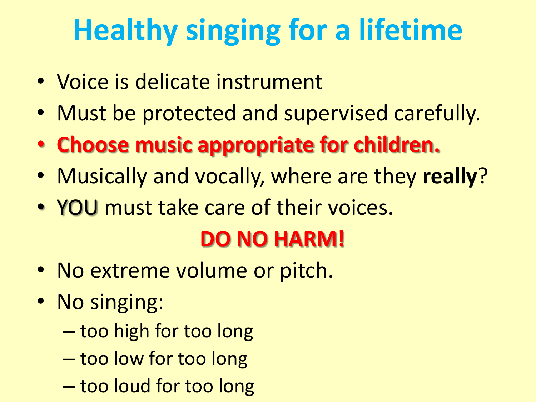### **Healthy singing for a lifetime**

- Voice is delicate instrument
- Must be protected and supervised carefully.
- **Choose music appropriate for children.**
- Musically and vocally, where are they **really**?
- YOU must take care of their voices.

### **DO NO HARM!**

- No extreme volume or pitch.
- No singing:
	- too high for too long
	- too low for too long
	- too loud for too long